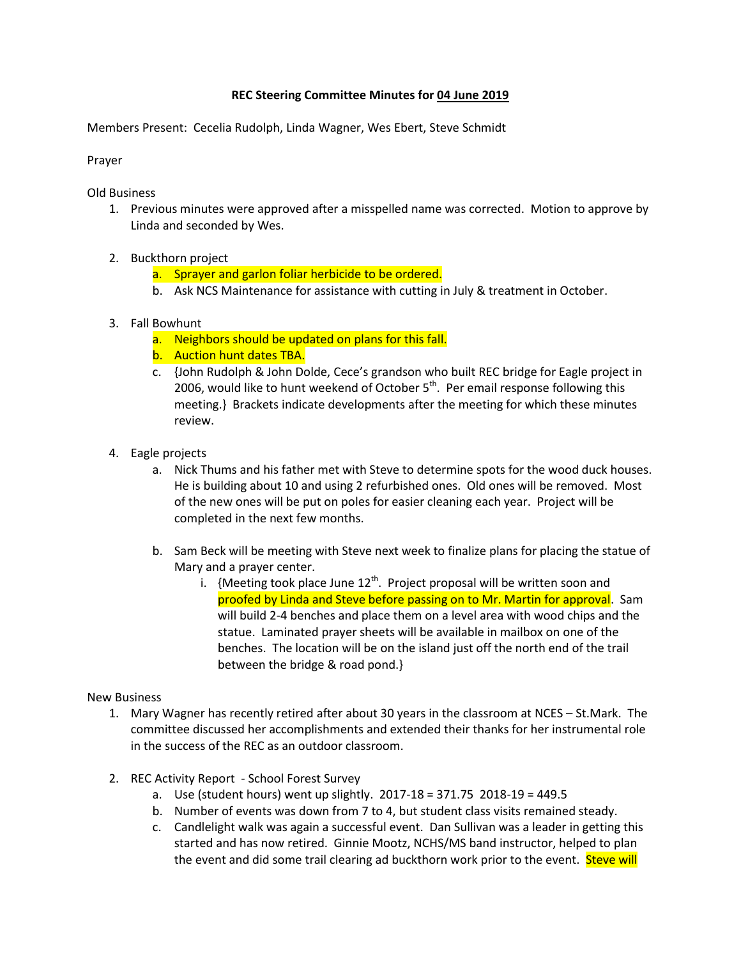## **REC Steering Committee Minutes for 04 June 2019**

Members Present: Cecelia Rudolph, Linda Wagner, Wes Ebert, Steve Schmidt

Prayer

Old Business

- 1. Previous minutes were approved after a misspelled name was corrected. Motion to approve by Linda and seconded by Wes.
- 2. Buckthorn project
	- a. Sprayer and garlon foliar herbicide to be ordered.
	- b. Ask NCS Maintenance for assistance with cutting in July & treatment in October.
- 3. Fall Bowhunt
	- a. Neighbors should be updated on plans for this fall.
	- b. Auction hunt dates TBA.
	- c. {John Rudolph & John Dolde, Cece's grandson who built REC bridge for Eagle project in 2006, would like to hunt weekend of October  $5<sup>th</sup>$ . Per email response following this meeting.} Brackets indicate developments after the meeting for which these minutes review.
- 4. Eagle projects
	- a. Nick Thums and his father met with Steve to determine spots for the wood duck houses. He is building about 10 and using 2 refurbished ones. Old ones will be removed. Most of the new ones will be put on poles for easier cleaning each year. Project will be completed in the next few months.
	- b. Sam Beck will be meeting with Steve next week to finalize plans for placing the statue of Mary and a prayer center.
		- i. {Meeting took place June  $12<sup>th</sup>$ . Project proposal will be written soon and proofed by Linda and Steve before passing on to Mr. Martin for approval. Sam will build 2-4 benches and place them on a level area with wood chips and the statue. Laminated prayer sheets will be available in mailbox on one of the benches. The location will be on the island just off the north end of the trail between the bridge & road pond.}

## New Business

- 1. Mary Wagner has recently retired after about 30 years in the classroom at NCES St.Mark. The committee discussed her accomplishments and extended their thanks for her instrumental role in the success of the REC as an outdoor classroom.
- 2. REC Activity Report School Forest Survey
	- a. Use (student hours) went up slightly. 2017-18 = 371.75 2018-19 = 449.5
	- b. Number of events was down from 7 to 4, but student class visits remained steady.
	- c. Candlelight walk was again a successful event. Dan Sullivan was a leader in getting this started and has now retired. Ginnie Mootz, NCHS/MS band instructor, helped to plan the event and did some trail clearing ad buckthorn work prior to the event. Steve will